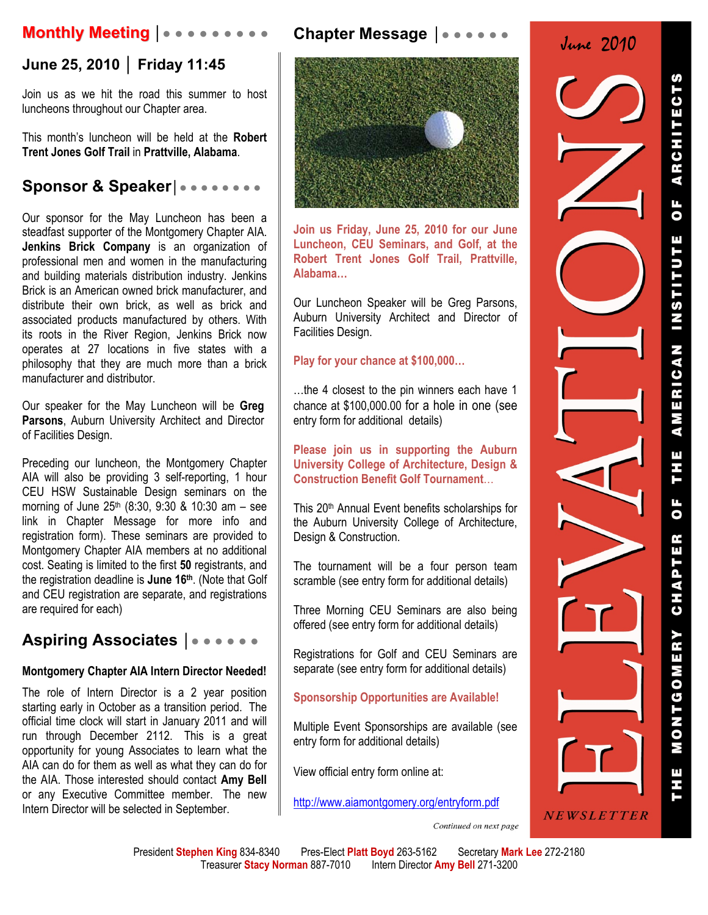# **Monthly Meeting │● ● ● ● ● ● ● ● ●**

# **June 25, 2010 │ Friday 11:45**

Join us as we hit the road this summer to host luncheons throughout our Chapter area.

This month's luncheon will be held at the **Robert Trent Jones Golf Trail** in **Prattville, Alabama**.

# **Sponsor & Speaker│● ● ● ● ● ● ● ●**

Our sponsor for the May Luncheon has been a steadfast supporter of the Montgomery Chapter AIA. **Jenkins Brick Company** is an organization of professional men and women in the manufacturing and building materials distribution industry. Jenkins Brick is an American owned brick manufacturer, and distribute their own brick, as well as brick and associated products manufactured by others. With its roots in the River Region, Jenkins Brick now operates at 27 locations in five states with a philosophy that they are much more than a brick manufacturer and distributor.

Our speaker for the May Luncheon will be **Greg**  Parsons, Auburn University Architect and Director of Facilities Design.

Preceding our luncheon, the Montgomery Chapter AIA will also be providing 3 self-reporting, 1 hour CEU HSW Sustainable Design seminars on the morning of June  $25<sup>th</sup>$  (8:30, 9:30 & 10:30 am – see link in Chapter Message for more info and registration form). These seminars are provided to Montgomery Chapter AIA members at no additional cost. Seating is limited to the first **50** registrants, and the registration deadline is **June 16th**. (Note that Golf and CEU registration are separate, and registrations are required for each)

# **Aspiring Associates │**● ● ● ● ● ●

### **Montgomery Chapter AIA Intern Director Needed!**

The role of Intern Director is a 2 year position starting early in October as a transition period. The official time clock will start in January 2011 and will run through December 2112. This is a great opportunity for young Associates to learn what the AIA can do for them as well as what they can do for the AIA. Those interested should contact **Amy Bell** or any Executive Committee member. The new Intern Director will be selected in September.



**Join us Friday, June 25, 2010 for our June Luncheon, CEU Seminars, and Golf, at the Robert Trent Jones Golf Trail, Prattville, Alabama…** 

Our Luncheon Speaker will be Greg Parsons, Auburn University Architect and Director of Facilities Design.

#### **Play for your chance at \$100,000…**

…the 4 closest to the pin winners each have 1 chance at \$100,000.00 for a hole in one (see entry form for additional details)

**Please join us in supporting the Auburn University College of Architecture, Design & Construction Benefit Golf Tournament**…

This 20th Annual Event benefits scholarships for the Auburn University College of Architecture, Design & Construction.

The tournament will be a four person team scramble (see entry form for additional details)

Three Morning CEU Seminars are also being offered (see entry form for additional details)

Registrations for Golf and CEU Seminars are separate (see entry form for additional details)

### **Sponsorship Opportunities are Available!**

Multiple Event Sponsorships are available (see entry form for additional details)

View official entry form online at:

http://www.aiamontgomery.org/entryform.pdf



Continued on next page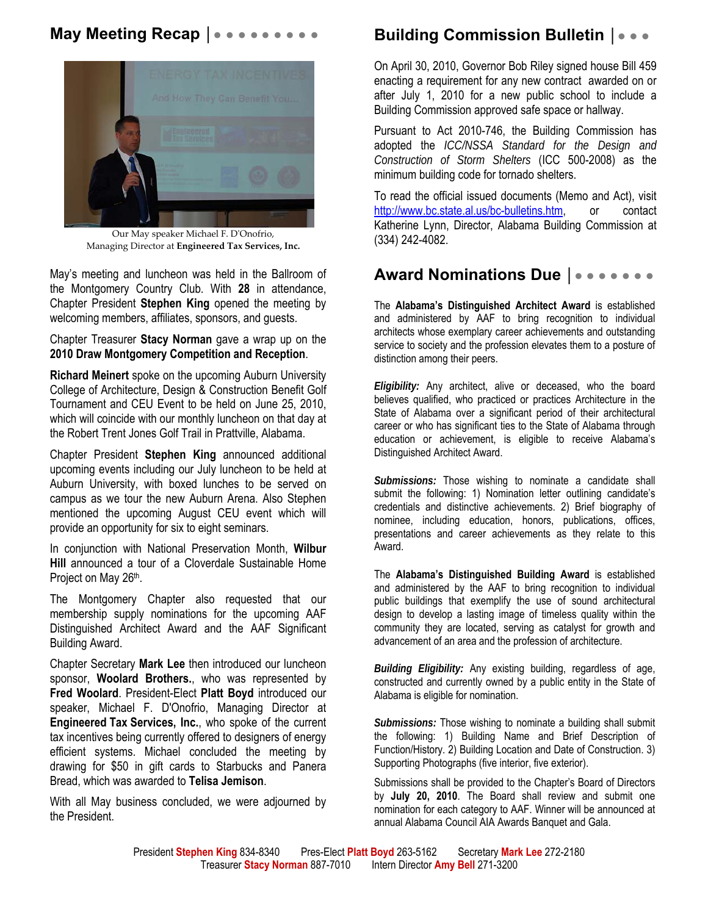# **May Meeting Recap |●●●●●●●●●**●



Our May speaker Michael F. DʹOnofrio, Managing Director at **Engineered Tax Services, Inc.**

May's meeting and luncheon was held in the Ballroom of the Montgomery Country Club. With **28** in attendance, Chapter President **Stephen King** opened the meeting by welcoming members, affiliates, sponsors, and guests.

Chapter Treasurer **Stacy Norman** gave a wrap up on the **2010 Draw Montgomery Competition and Reception**.

**Richard Meinert** spoke on the upcoming Auburn University College of Architecture, Design & Construction Benefit Golf Tournament and CEU Event to be held on June 25, 2010, which will coincide with our monthly luncheon on that day at the Robert Trent Jones Golf Trail in Prattville, Alabama.

Chapter President **Stephen King** announced additional upcoming events including our July luncheon to be held at Auburn University, with boxed lunches to be served on campus as we tour the new Auburn Arena. Also Stephen mentioned the upcoming August CEU event which will provide an opportunity for six to eight seminars.

In conjunction with National Preservation Month, **Wilbur Hill** announced a tour of a Cloverdale Sustainable Home Project on May 26th.

The Montgomery Chapter also requested that our membership supply nominations for the upcoming AAF Distinguished Architect Award and the AAF Significant Building Award.

Chapter Secretary **Mark Lee** then introduced our luncheon sponsor, **Woolard Brothers.**, who was represented by **Fred Woolard**. President-Elect **Platt Boyd** introduced our speaker, Michael F. D'Onofrio, Managing Director at **Engineered Tax Services, Inc.**, who spoke of the current tax incentives being currently offered to designers of energy efficient systems. Michael concluded the meeting by drawing for \$50 in gift cards to Starbucks and Panera Bread, which was awarded to **Telisa Jemison**.

With all May business concluded, we were adjourned by the President.

# **Building Commission Bulletin │**● ● ●

On April 30, 2010, Governor Bob Riley signed house Bill 459 enacting a requirement for any new contract awarded on or after July 1, 2010 for a new public school to include a Building Commission approved safe space or hallway.

Pursuant to Act 2010-746, the Building Commission has adopted the *ICC/NSSA Standard for the Design and Construction of Storm Shelters* (ICC 500-2008) as the minimum building code for tornado shelters.

To read the official issued documents (Memo and Act), visit http://www.bc.state.al.us/bc-bulletins.htm, or contact Katherine Lynn, Director, Alabama Building Commission at (334) 242-4082.

# **Award Nominations Due |●●●●●●●●**

The **Alabama's Distinguished Architect Award** is established and administered by AAF to bring recognition to individual architects whose exemplary career achievements and outstanding service to society and the profession elevates them to a posture of distinction among their peers.

*Eligibility:* Any architect, alive or deceased, who the board believes qualified, who practiced or practices Architecture in the State of Alabama over a significant period of their architectural career or who has significant ties to the State of Alabama through education or achievement, is eligible to receive Alabama's Distinguished Architect Award.

*Submissions:* Those wishing to nominate a candidate shall submit the following: 1) Nomination letter outlining candidate's credentials and distinctive achievements. 2) Brief biography of nominee, including education, honors, publications, offices, presentations and career achievements as they relate to this Award.

The **Alabama's Distinguished Building Award** is established and administered by the AAF to bring recognition to individual public buildings that exemplify the use of sound architectural design to develop a lasting image of timeless quality within the community they are located, serving as catalyst for growth and advancement of an area and the profession of architecture.

*Building Eligibility:* Any existing building, regardless of age, constructed and currently owned by a public entity in the State of Alabama is eligible for nomination.

*Submissions:* Those wishing to nominate a building shall submit the following: 1) Building Name and Brief Description of Function/History. 2) Building Location and Date of Construction. 3) Supporting Photographs (five interior, five exterior).

Submissions shall be provided to the Chapter's Board of Directors by **July 20, 2010**. The Board shall review and submit one nomination for each category to AAF. Winner will be announced at annual Alabama Council AIA Awards Banquet and Gala.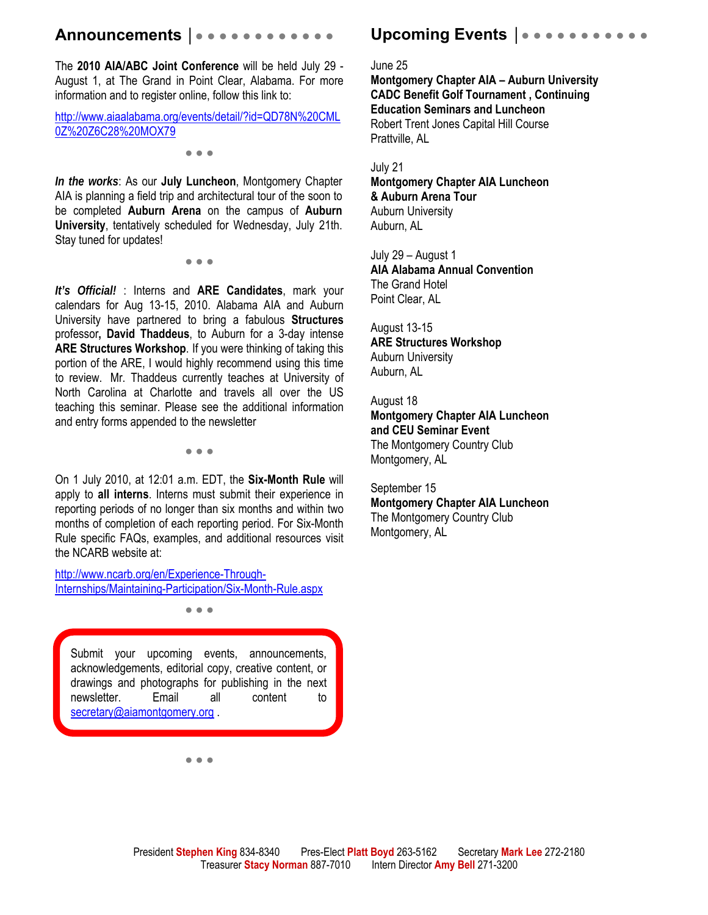# **Announcements │**● ● ● ● ● ● ● ● ● ● ● ●

The **2010 AIA/ABC Joint Conference** will be held July 29 - August 1, at The Grand in Point Clear, Alabama. For more information and to register online, follow this link to:

http://www.aiaalabama.org/events/detail/?id=QD78N%20CML 0Z%20Z6C28%20MOX79

● ● ●

*In the works*: As our **July Luncheon**, Montgomery Chapter AIA is planning a field trip and architectural tour of the soon to be completed **Auburn Arena** on the campus of **Auburn University**, tentatively scheduled for Wednesday, July 21th. Stay tuned for updates!

● ● ●

*It's Official!* : Interns and **ARE Candidates**, mark your calendars for Aug 13-15, 2010. Alabama AIA and Auburn University have partnered to bring a fabulous **Structures** professor**, David Thaddeus**, to Auburn for a 3-day intense **ARE Structures Workshop**. If you were thinking of taking this portion of the ARE, I would highly recommend using this time to review. Mr. Thaddeus currently teaches at University of North Carolina at Charlotte and travels all over the US teaching this seminar. Please see the additional information and entry forms appended to the newsletter

● ● ●

On 1 July 2010, at 12:01 a.m. EDT, the **Six-Month Rule** will apply to **all interns**. Interns must submit their experience in reporting periods of no longer than six months and within two months of completion of each reporting period. For Six-Month Rule specific FAQs, examples, and additional resources visit the NCARB website at:

http://www.ncarb.org/en/Experience-Through-Internships/Maintaining-Participation/Six-Month-Rule.aspx

● ● ●

Submit your upcoming events, announcements, acknowledgements, editorial copy, creative content, or drawings and photographs for publishing in the next newsletter. Email all content to secretary@aiamontgomery.org

● ● ●

# Upcoming Events | • • • • •

June 25

**Montgomery Chapter AIA – Auburn University CADC Benefit Golf Tournament , Continuing Education Seminars and Luncheon**  Robert Trent Jones Capital Hill Course Prattville, AL

July 21

**Montgomery Chapter AIA Luncheon & Auburn Arena Tour**  Auburn University Auburn, AL

July 29 – August 1 **AIA Alabama Annual Convention**  The Grand Hotel Point Clear, AL

August 13-15 **ARE Structures Workshop**  Auburn University Auburn, AL

August 18 **Montgomery Chapter AIA Luncheon and CEU Seminar Event** 

The Montgomery Country Club Montgomery, AL

September 15 **Montgomery Chapter AIA Luncheon**  The Montgomery Country Club Montgomery, AL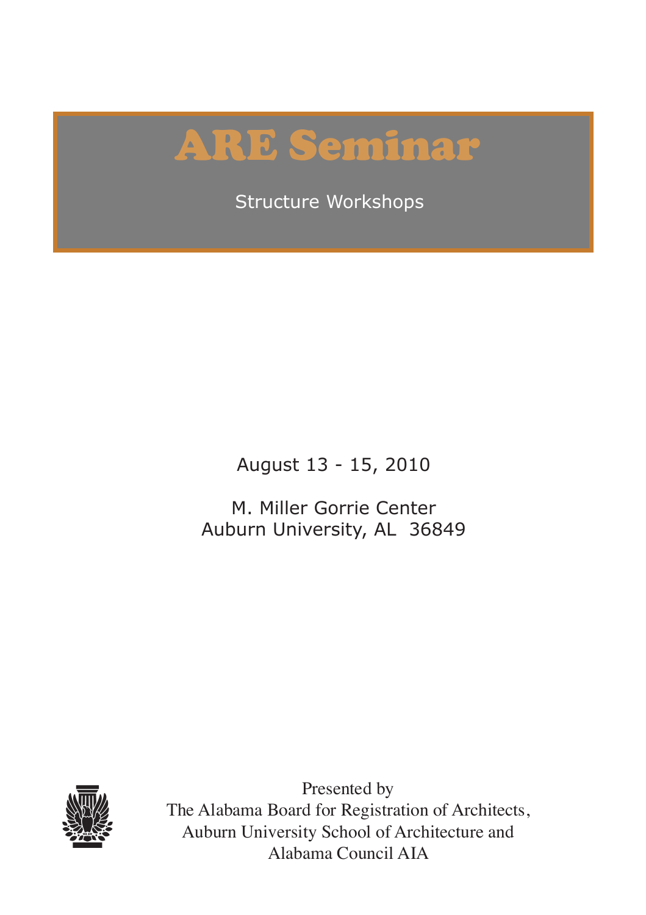# ARE Seminar

Structure Workshops

August 13 - 15, 2010

M. Miller Gorrie Center Auburn University, AL 36849



Presented by The Alabama Board for Registration of Architects, Auburn University School of Architecture and Alabama Council AIA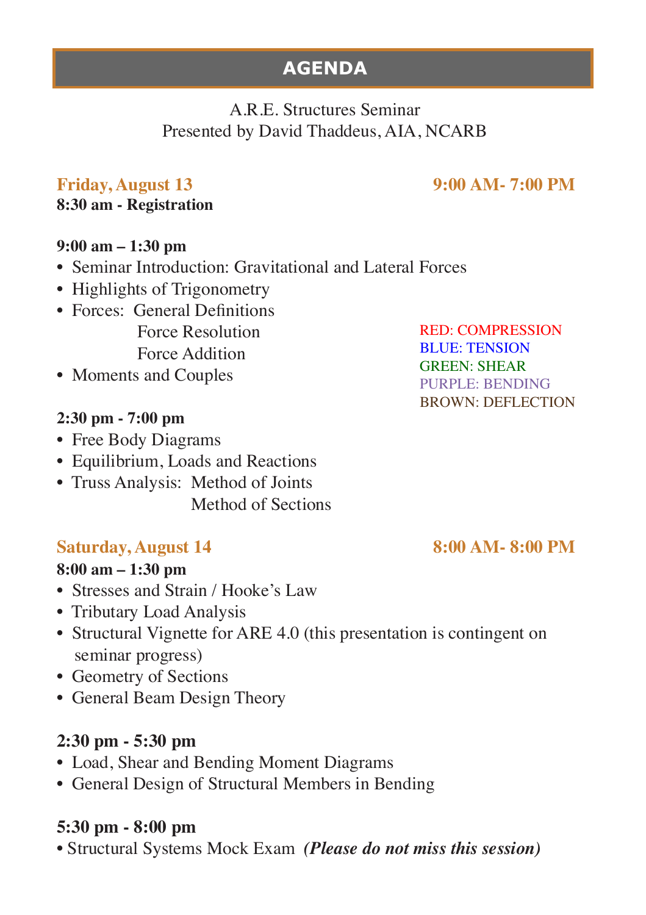# **AGENDA**

### A.R.E. Structures Seminar Presented by David Thaddeus, AIA, NCARB

#### **Friday, August 13 9:00 AM- 7:00 PM**

#### **8:30 am - Registration**

#### **9:00 am – 1:30 pm**

- Seminar Introduction: Gravitational and Lateral Forces
- Highlights of Trigonometry
- Forces: General Definitions Force Resolution Force Addition
- Moments and Couples

#### **2:30 pm - 7:00 pm**

- Free Body Diagrams
- Equilibrium, Loads and Reactions
- Truss Analysis: Method of Joints Method of Sections

#### **Saturday, August 14** 8:00 AM- 8:00 PM

#### **8:00 am – 1:30 pm**

- Stresses and Strain / Hooke's Law
- Tributary Load Analysis
- Structural Vignette for ARE 4.0 (this presentation is contingent on seminar progress)
- Geometry of Sections
- General Beam Design Theory

#### **2:30 pm - 5:30 pm**

- Load, Shear and Bending Moment Diagrams
- General Design of Structural Members in Bending

#### **5:30 pm - 8:00 pm**

• Structural Systems Mock Exam *(Please do not miss this session)* 

RED: COMPRESSION BLUE: TENSION GREEN: SHEAR PURPLE: BENDING BROWN: DEFLECTION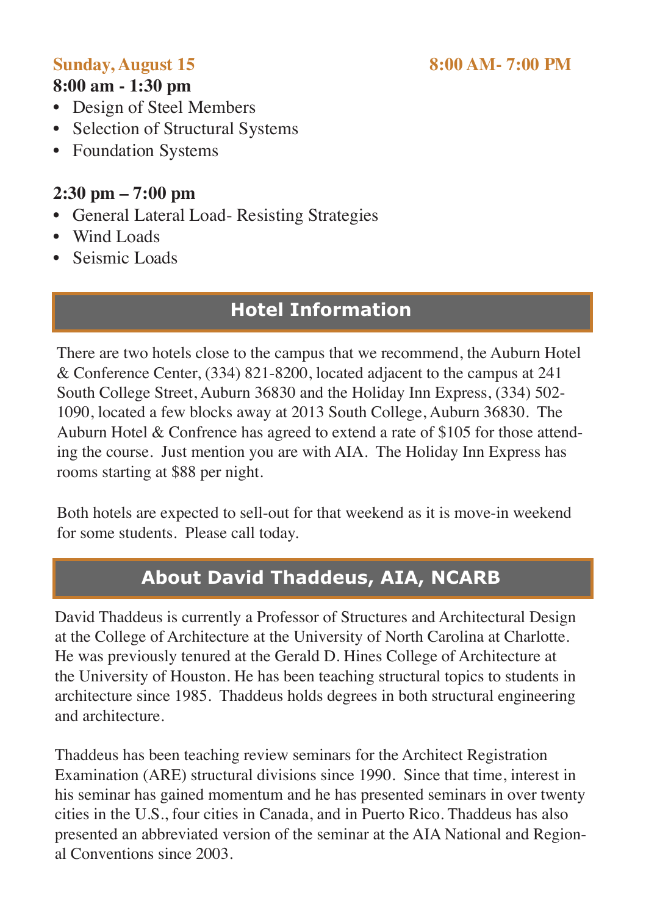#### **Sunday, August 15 8:00 AM- 7:00 PM**

#### **8:00 am - 1:30 pm**

- Design of Steel Members
- Selection of Structural Systems
- Foundation Systems

# **2:30 pm – 7:00 pm**

- General Lateral Load- Resisting Strategies
- Wind Loads
- Seismic Loads

# **Hotel Information**

There are two hotels close to the campus that we recommend, the Auburn Hotel & Conference Center, (334) 821-8200, located adjacent to the campus at 241 South College Street, Auburn 36830 and the Holiday Inn Express, (334) 502- 1090, located a few blocks away at 2013 South College, Auburn 36830. The Auburn Hotel & Confrence has agreed to extend a rate of \$105 for those attending the course. Just mention you are with AIA. The Holiday Inn Express has rooms starting at \$88 per night.

Both hotels are expected to sell-out for that weekend as it is move-in weekend for some students. Please call today.

# **About David Thaddeus, AIA, NCARB**

David Thaddeus is currently a Professor of Structures and Architectural Design at the College of Architecture at the University of North Carolina at Charlotte. He was previously tenured at the Gerald D. Hines College of Architecture at the University of Houston. He has been teaching structural topics to students in architecture since 1985. Thaddeus holds degrees in both structural engineering and architecture.

Thaddeus has been teaching review seminars for the Architect Registration Examination (ARE) structural divisions since 1990. Since that time, interest in his seminar has gained momentum and he has presented seminars in over twenty cities in the U.S., four cities in Canada, and in Puerto Rico. Thaddeus has also presented an abbreviated version of the seminar at the AIA National and Regional Conventions since 2003.